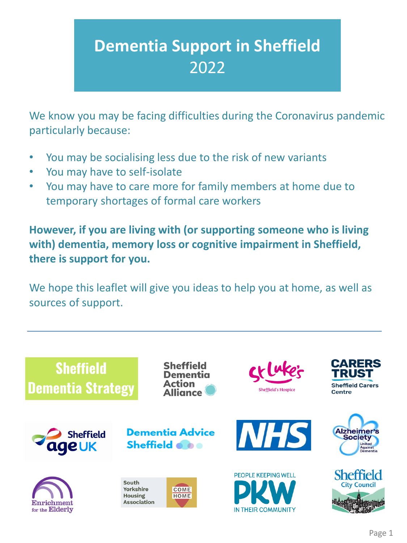# **Dementia Support in Sheffield** 2022

We know you may be facing difficulties during the Coronavirus pandemic particularly because:

- You may be socialising less due to the risk of new variants
- You may have to self-isolate
- You may have to care more for family members at home due to temporary shortages of formal care workers

**However, if you are living with (or supporting someone who is living with) dementia, memory loss or cognitive impairment in Sheffield, there is support for you.**

We hope this leaflet will give you ideas to help you at home, as well as sources of support.

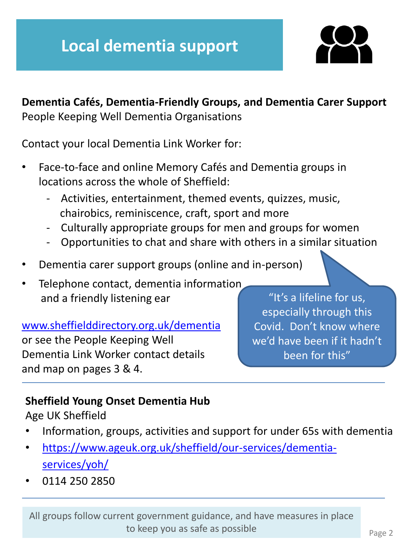

**Dementia Cafés, Dementia-Friendly Groups, and Dementia Carer Support** People Keeping Well Dementia Organisations

Contact your local Dementia Link Worker for:

- Face-to-face and online Memory Cafés and Dementia groups in locations across the whole of Sheffield:
	- Activities, entertainment, themed events, quizzes, music, chairobics, reminiscence, craft, sport and more
	- Culturally appropriate groups for men and groups for women
	- Opportunities to chat and share with others in a similar situation
- Dementia carer support groups (online and in-person)
- Telephone contact, dementia information and a friendly listening ear

#### [www.sheffielddirectory.org.uk/dementia](http://www.sheffielddirectory.org.uk/dementia)

or see the People Keeping Well Dementia Link Worker contact details and map on pages 3 & 4.

"It's a lifeline for us, especially through this Covid. Don't know where we'd have been if it hadn't been for this"

# **Sheffield Young Onset Dementia Hub**

Age UK Sheffield

- Information, groups, activities and support for under 65s with dementia
- [https://www.ageuk.org.uk/sheffield/our-services/dementia](https://www.ageuk.org.uk/sheffield/our-services/dementia-services/yoh/)services/yoh/
- 0114 250 2850

All groups follow current government guidance, and have measures in place to keep you as safe as possible Page 2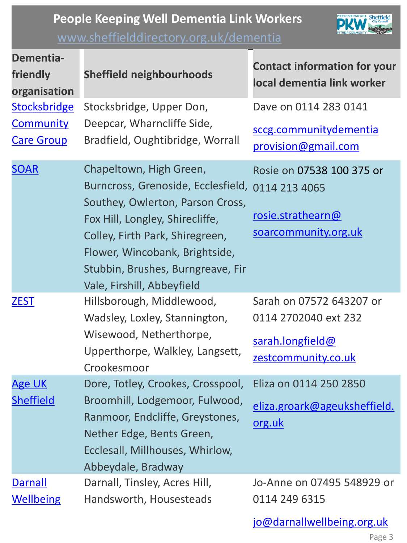# **People Keeping Well Dementia Link Workers**  [www.sheffielddirectory.org.uk/dementia](http://www.sheffielddirectory.org.uk/dementia)



| Dementia-<br>friendly<br>organisation                        | <b>Sheffield neighbourhoods</b>                                                                                                                                                                                                                                              | <b>Contact information for your</b><br>local dementia link worker                           |
|--------------------------------------------------------------|------------------------------------------------------------------------------------------------------------------------------------------------------------------------------------------------------------------------------------------------------------------------------|---------------------------------------------------------------------------------------------|
| <b>Stocksbridge</b><br><b>Community</b><br><b>Care Group</b> | Stocksbridge, Upper Don,<br>Deepcar, Wharncliffe Side,<br>Bradfield, Oughtibridge, Worrall                                                                                                                                                                                   | Dave on 0114 283 0141<br>sccg.communitydementia<br>provision@gmail.com                      |
| <b>SOAR</b>                                                  | Chapeltown, High Green,<br>Burncross, Grenoside, Ecclesfield,<br>Southey, Owlerton, Parson Cross,<br>Fox Hill, Longley, Shirecliffe,<br>Colley, Firth Park, Shiregreen,<br>Flower, Wincobank, Brightside,<br>Stubbin, Brushes, Burngreave, Fir<br>Vale, Firshill, Abbeyfield | Rosie on 07538 100 375 or<br>0114 213 4065<br>rosie.strathearn@<br>soarcommunity.org.uk     |
| <b>ZEST</b>                                                  | Hillsborough, Middlewood,<br>Wadsley, Loxley, Stannington,<br>Wisewood, Netherthorpe,<br>Upperthorpe, Walkley, Langsett,<br>Crookesmoor                                                                                                                                      | Sarah on 07572 643207 or<br>0114 2702040 ext 232<br>sarah.longfield@<br>zestcommunity.co.uk |
| <b>Age UK</b><br><b>Sheffield</b>                            | Dore, Totley, Crookes, Crosspool,<br>Broomhill, Lodgemoor, Fulwood,<br>Ranmoor, Endcliffe, Greystones,<br>Nether Edge, Bents Green,<br>Ecclesall, Millhouses, Whirlow,<br>Abbeydale, Bradway                                                                                 | Eliza on 0114 250 2850<br>eliza.groark@ageuksheffield.<br>org.uk                            |
| <b>Darnall</b><br><b>Wellbeing</b>                           | Darnall, Tinsley, Acres Hill,<br>Handsworth, Housesteads                                                                                                                                                                                                                     | Jo-Anne on 07495 548929 or<br>0114 249 6315                                                 |

[jo@darnallwellbeing.org.uk](mailto:jo@darnallwellbeing.org.uk)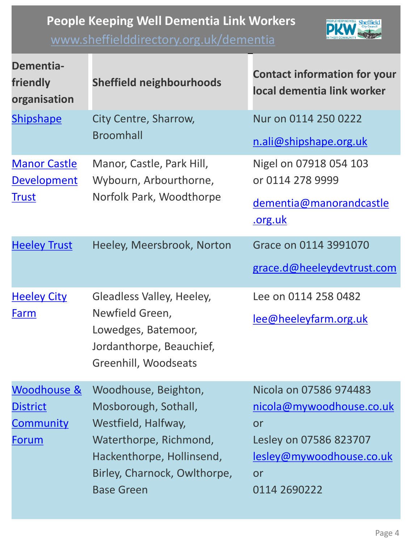# **People Keeping Well Dementia Link Workers**

# [www.sheffielddirectory.org.uk/dementia](http://www.sheffielddirectory.org.uk/dementia)



| <b>Dementia-</b><br>friendly<br>organisation                       | <b>Sheffield neighbourhoods</b>                                                                                                                                                 | <b>Contact information for your</b><br>local dementia link worker                                                                           |
|--------------------------------------------------------------------|---------------------------------------------------------------------------------------------------------------------------------------------------------------------------------|---------------------------------------------------------------------------------------------------------------------------------------------|
| <b>Shipshape</b>                                                   | City Centre, Sharrow,<br><b>Broomhall</b>                                                                                                                                       | Nur on 0114 250 0222<br>n.ali@shipshape.org.uk                                                                                              |
| <b>Manor Castle</b><br><b>Development</b><br><b>Trust</b>          | Manor, Castle, Park Hill,<br>Wybourn, Arbourthorne,<br>Norfolk Park, Woodthorpe                                                                                                 | Nigel on 07918 054 103<br>or 0114 278 9999<br>dementia@manorandcastle<br>.org.uk                                                            |
| <b>Heeley Trust</b>                                                | Heeley, Meersbrook, Norton                                                                                                                                                      | Grace on 0114 3991070<br>grace.d@heeleydevtrust.com                                                                                         |
| <b>Heeley City</b><br>Farm                                         | Gleadless Valley, Heeley,<br>Newfield Green,<br>Lowedges, Batemoor,<br>Jordanthorpe, Beauchief,<br>Greenhill, Woodseats                                                         | Lee on 0114 258 0482<br>lee@heeleyfarm.org.uk                                                                                               |
| Woodhouse &<br><b>District</b><br><b>Community</b><br><u>Forum</u> | Woodhouse, Beighton,<br>Mosborough, Sothall,<br>Westfield, Halfway,<br>Waterthorpe, Richmond,<br>Hackenthorpe, Hollinsend,<br>Birley, Charnock, Owlthorpe,<br><b>Base Green</b> | Nicola on 07586 974483<br>nicola@mywoodhouse.co.uk<br>or<br>Lesley on 07586 823707<br><u>lesley@mywoodhouse.co.uk</u><br>or<br>0114 2690222 |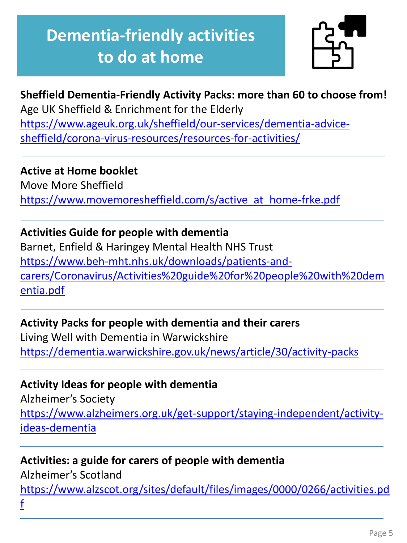# **Dementia-friendly activities to do at home**



# **Sheffield Dementia-Friendly Activity Packs: more than 60 to choose from!**

Age UK Sheffield & Enrichment for the Elderly [https://www.ageuk.org.uk/sheffield/our-services/dementia-advice](https://www.ageuk.org.uk/sheffield/our-services/dementia-advice-sheffield/corona-virus-resources/resources-for-activities/)sheffield/corona-virus-resources/resources-for-activities/

#### **Active at Home booklet**

Move More Sheffield [https://www.movemoresheffield.com/s/active\\_at\\_home-frke.pdf](https://www.movemoresheffield.com/s/active_at_home-frke.pdf)

#### **Activities Guide for people with dementia**

Barnet, Enfield & Haringey Mental Health NHS Trust https://www.beh-mht.nhs.uk/downloads/patients-and[carers/Coronavirus/Activities%20guide%20for%20people%20with%20dem](https://www.beh-mht.nhs.uk/downloads/patients-and-carers/Coronavirus/Activities%20guide%20for%20people%20with%20dementia.pdf) entia.pdf

#### **Activity Packs for people with dementia and their carers**

Living Well with Dementia in Warwickshire <https://dementia.warwickshire.gov.uk/news/article/30/activity-packs>

### **Activity Ideas for people with dementia**

Alzheimer's Society [https://www.alzheimers.org.uk/get-support/staying-independent/activity](https://www.alzheimers.org.uk/get-support/staying-independent/activity-ideas-dementia)ideas-dementia

# **Activities: a guide for carers of people with dementia**

Alzheimer's Scotland [https://www.alzscot.org/sites/default/files/images/0000/0266/activities.pd](https://www.alzscot.org/sites/default/files/images/0000/0266/activities.pdf) f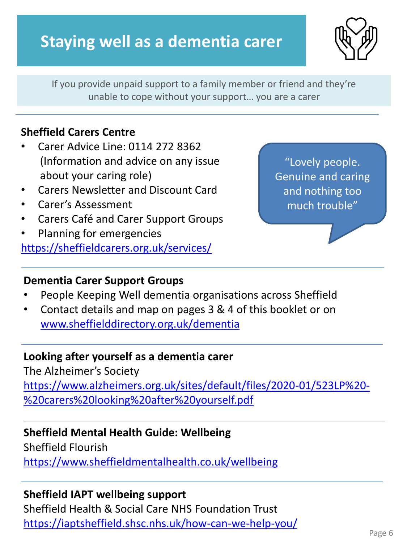# **Staying well as a dementia carer**



If you provide unpaid support to a family member or friend and they're unable to cope without your support… you are a carer

#### **Sheffield Carers Centre**

- Carer Advice Line: 0114 272 8362 (Information and advice on any issue about your caring role)
- Carers Newsletter and Discount Card
- Carer's Assessment
- Carers Café and Carer Support Groups
- Planning for emergencies <https://sheffieldcarers.org.uk/services/>

"Lovely people. Genuine and caring and nothing too much trouble"

#### **Dementia Carer Support Groups**

- People Keeping Well dementia organisations across Sheffield
- Contact details and map on pages 3 & 4 of this booklet or on [www.sheffielddirectory.org.uk/dementia](http://www.sheffielddirectory.org.uk/dementia)

#### **Looking after yourself as a dementia carer**

The Alzheimer's Society https://www.alzheimers.org.uk/sites/default/files/2020-01/523LP%20- %20carers%20looking%20after%20yourself.pdf

#### **Sheffield Mental Health Guide: Wellbeing**

Sheffield Flourish <https://www.sheffieldmentalhealth.co.uk/wellbeing>

#### **Sheffield IAPT wellbeing support**

Sheffield Health & Social Care NHS Foundation Trust <https://iaptsheffield.shsc.nhs.uk/how-can-we-help-you/>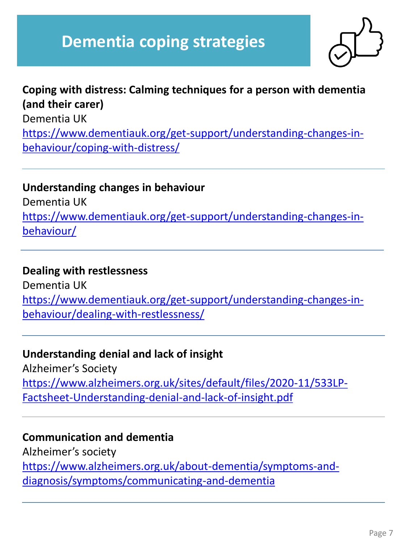# **Dementia coping strategies**



# **Coping with distress: Calming techniques for a person with dementia (and their carer)** Dementia UK [https://www.dementiauk.org/get-support/understanding-changes-in](https://www.dementiauk.org/get-support/understanding-changes-in-behaviour/coping-with-distress/)behaviour/coping-with-distress/

#### **Understanding changes in behaviour**

Dementia UK [https://www.dementiauk.org/get-support/understanding-changes-in](https://www.dementiauk.org/get-support/understanding-changes-in-behaviour/)behaviour/

#### **Dealing with restlessness**

Dementia UK [https://www.dementiauk.org/get-support/understanding-changes-in](https://www.dementiauk.org/get-support/understanding-changes-in-behaviour/dealing-with-restlessness/)behaviour/dealing-with-restlessness/

#### **Understanding denial and lack of insight**

Alzheimer's Society [https://www.alzheimers.org.uk/sites/default/files/2020-11/533LP-](https://www.alzheimers.org.uk/sites/default/files/2020-11/533LP-Factsheet-Understanding-denial-and-lack-of-insight.pdf)Factsheet-Understanding-denial-and-lack-of-insight.pdf

#### **Communication and dementia**

Alzheimer's society [https://www.alzheimers.org.uk/about-dementia/symptoms-and](https://www.alzheimers.org.uk/about-dementia/symptoms-and-diagnosis/symptoms/communicating-and-dementia)diagnosis/symptoms/communicating-and-dementia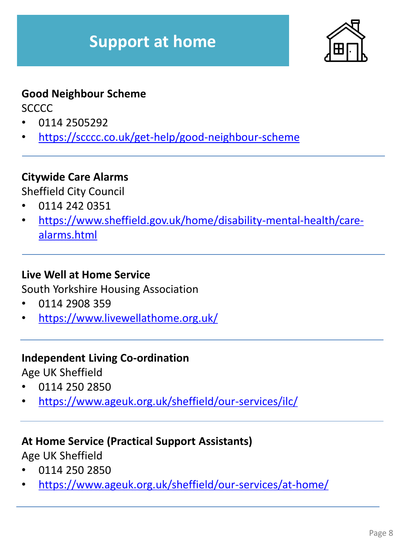

## **Good Neighbour Scheme**

**SCCCC** 

- 0114 2505292
- <https://scccc.co.uk/get-help/good-neighbour-scheme>

# **Citywide Care Alarms**

Sheffield City Council

- 0114 242 0351
- [https://www.sheffield.gov.uk/home/disability-mental-health/care](https://www.sheffield.gov.uk/home/disability-mental-health/care-alarms.html)alarms.html

# **Live Well at Home Service**

South Yorkshire Housing Association

- 0114 2908 359
- <https://www.livewellathome.org.uk/>

### **Independent Living Co-ordination**

Age UK Sheffield

- 0114 250 2850
- <https://www.ageuk.org.uk/sheffield/our-services/ilc/>

### **At Home Service (Practical Support Assistants)**

Age UK Sheffield

- 0114 250 2850
- <https://www.ageuk.org.uk/sheffield/our-services/at-home/>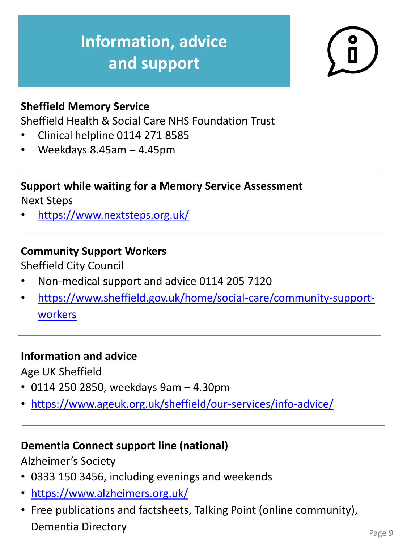# **Information, advice and support**



## **Sheffield Memory Service**

Sheffield Health & Social Care NHS Foundation Trust

- Clinical helpline 0114 271 8585
- Weekdays 8.45am 4.45pm

# **Support while waiting for a Memory Service Assessment**

Next Steps

• <https://www.nextsteps.org.uk/>

# **Community Support Workers**

Sheffield City Council

- Non-medical support and advice 0114 205 7120
- [https://www.sheffield.gov.uk/home/social-care/community-support](https://www.sheffield.gov.uk/home/social-care/community-support-workers)workers

### **Information and advice**

Age UK Sheffield

- 0114 250 2850, weekdays 9am 4.30pm
- <https://www.ageuk.org.uk/sheffield/our-services/info-advice/>

### **Dementia Connect support line (national)**

Alzheimer's Society

- 0333 150 3456, including evenings and weekends
- <https://www.alzheimers.org.uk/>
- Free publications and factsheets, Talking Point (online community), **Dementia Directory Page 9**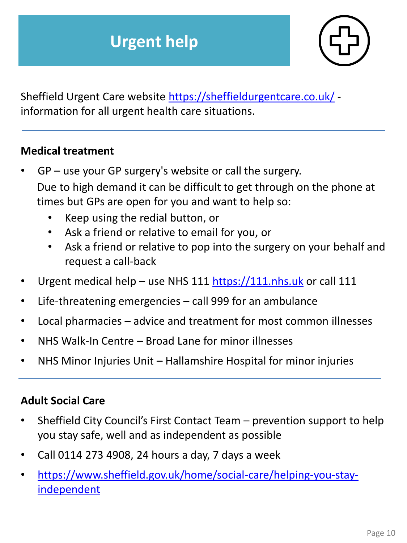

Sheffield Urgent Care website <https://sheffieldurgentcare.co.uk/> information for all urgent health care situations.

#### **Medical treatment**

- $GP$  use your GP surgery's website or call the surgery. Due to high demand it can be difficult to get through on the phone at times but GPs are open for you and want to help so:
	- Keep using the redial button, or
	- Ask a friend or relative to email for you, or
	- Ask a friend or relative to pop into the surgery on your behalf and request a call-back
- Urgent medical help use NHS 111 [https://111.nhs.uk](https://111.nhs.uk/) or call 111
- Life-threatening emergencies call 999 for an ambulance
- Local pharmacies advice and treatment for most common illnesses
- NHS Walk-In Centre Broad Lane for minor illnesses
- NHS Minor Injuries Unit Hallamshire Hospital for minor injuries

### **Adult Social Care**

- Sheffield City Council's First Contact Team prevention support to help you stay safe, well and as independent as possible
- Call 0114 273 4908, 24 hours a day, 7 days a week
- [https://www.sheffield.gov.uk/home/social-care/helping-you-stay](https://www.sheffield.gov.uk/home/social-care/helping-you-stay-independent)independent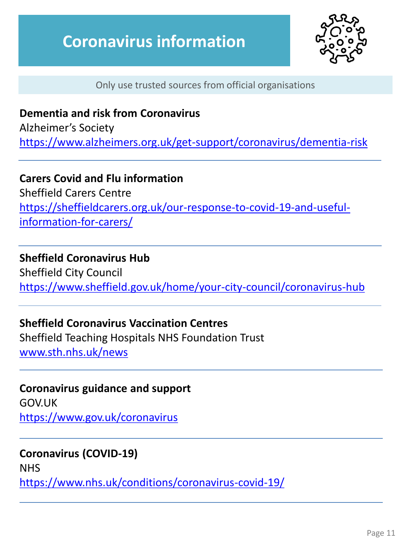

Only use trusted sources from official organisations

## **Dementia and risk from Coronavirus**

Alzheimer's Society <https://www.alzheimers.org.uk/get-support/coronavirus/dementia-risk>

### **Carers Covid and Flu information**

Sheffield Carers Centre [https://sheffieldcarers.org.uk/our-response-to-covid-19-and-useful](https://sheffieldcarers.org.uk/our-response-to-covid-19-and-useful-information-for-carers/)information-for-carers/

#### **Sheffield Coronavirus Hub**

Sheffield City Council <https://www.sheffield.gov.uk/home/your-city-council/coronavirus-hub>

#### **Sheffield Coronavirus Vaccination Centres**

Sheffield Teaching Hospitals NHS Foundation Trust [www.sth.nhs.uk/news](http://www.sth.nhs.uk/news)

## **Coronavirus guidance and support** GOV.UK

<https://www.gov.uk/coronavirus>

#### **Coronavirus (COVID-19)**

NHS <https://www.nhs.uk/conditions/coronavirus-covid-19/>